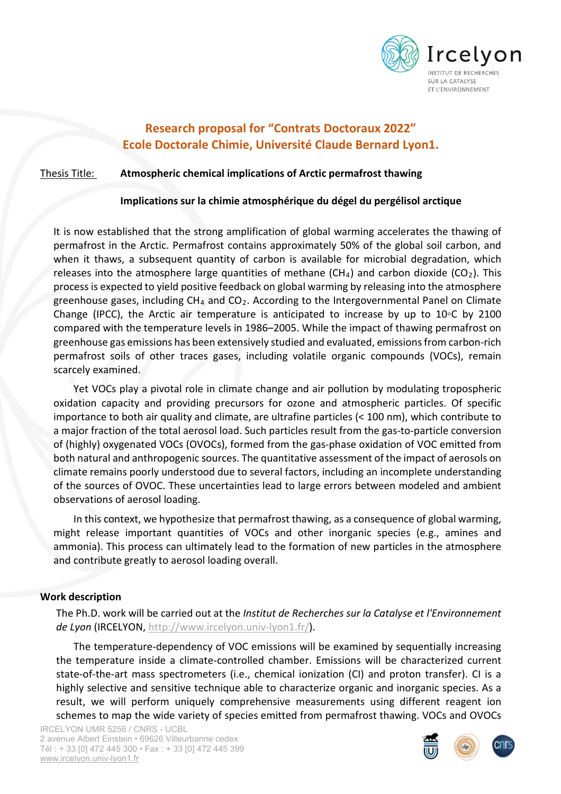

# **Research proposal for "Contrats Doctoraux 2022" Ecole Doctorale Chimie, Université Claude Bernard Lyon1.**

# Thesis Title: **Atmospheric chemical implications of Arctic permafrost thawing**

#### **Implications sur la chimie atmosphérique du dégel du pergélisol arctique**

It is now established that the strong amplification of global warming accelerates the thawing of permafrost in the Arctic. Permafrost contains approximately 50% of the global soil carbon, and when it thaws, a subsequent quantity of carbon is available for microbial degradation, which releases into the atmosphere large quantities of methane (CH<sub>4</sub>) and carbon dioxide (CO<sub>2</sub>). This process is expected to yield positive feedback on global warming by releasing into the atmosphere greenhouse gases, including  $CH_4$  and  $CO_2$ . According to the Intergovernmental Panel on Climate Change (IPCC), the Arctic air temperature is anticipated to increase by up to 10◦C by 2100 compared with the temperature levels in 1986–2005. While the impact of thawing permafrost on greenhouse gas emissions has been extensively studied and evaluated, emissions from carbon-rich permafrost soils of other traces gases, including volatile organic compounds (VOCs), remain scarcely examined.

Yet VOCs play a pivotal role in climate change and air pollution by modulating tropospheric oxidation capacity and providing precursors for ozone and atmospheric particles. Of specific importance to both air quality and climate, are ultrafine particles (< 100 nm), which contribute to a major fraction of the total aerosol load. Such particles result from the gas-to-particle conversion of (highly) oxygenated VOCs (OVOCs), formed from the gas-phase oxidation of VOC emitted from both natural and anthropogenic sources. The quantitative assessment of the impact of aerosols on climate remains poorly understood due to several factors, including an incomplete understanding of the sources of OVOC. These uncertainties lead to large errors between modeled and ambient observations of aerosol loading.

In this context, we hypothesize that permafrost thawing, as a consequence of global warming, might release important quantities of VOCs and other inorganic species (e.g., amines and ammonia). This process can ultimately lead to the formation of new particles in the atmosphere and contribute greatly to aerosol loading overall.

#### **Work description**

The Ph.D. work will be carried out at the *Institut de Recherches sur la Catalyse et l'Environnement de Lyon* (IRCELYON, [http://www.ircelyon.univ-lyon1.fr/\)](http://www.ircelyon.univ-lyon1.fr/).

The temperature-dependency of VOC emissions will be examined by sequentially increasing the temperature inside a climate-controlled chamber. Emissions will be characterized current state-of-the-art mass spectrometers (i.e., chemical ionization (CI) and proton transfer). CI is a highly selective and sensitive technique able to characterize organic and inorganic species. As a result, we will perform uniquely comprehensive measurements using different reagent ion schemes to map the wide variety of species emitted from permafrost thawing. VOCs and OVOCs